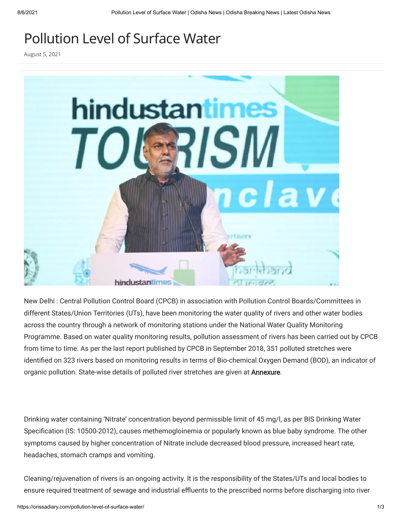## Pollution Level of Surface Water

August 5, 2021



New Delhi : Central Pollution Control Board (CPCB) in association with Pollution Control Boards/Committees in different States/Union Territories (UTs), have been monitoring the water quality of rivers and other water bodies across the country through a network of monitoring stations under the National Water Quality Monitoring Programme. Based on water quality monitoring results, pollution assessment of rivers has been carried out by CPCB from time to time. As per the last report published by CPCB in September 2018, 351 polluted stretches were identified on 323 rivers based on monitoring results in terms of Bio-chemical Oxygen Demand (BOD), an indicator of organic pollution. State-wise details of polluted river stretches are given at **Annexure**.

Drinking water containing 'Nitrate' concentration beyond permissible limit of 45 mg/l, as per BIS Drinking Water Specification (IS: 10500-2012), causes methemogloinemia or popularly known as blue baby syndrome. The other symptoms caused by higher concentration of Nitrate include decreased blood pressure, increased heart rate, headaches, stomach cramps and vomiting.

Cleaning/rejuvenation of rivers is an ongoing activity. It is the responsibility of the States/UTs and local bodies to ensure required treatment of sewage and industrial effluents to the prescribed norms before discharging into river